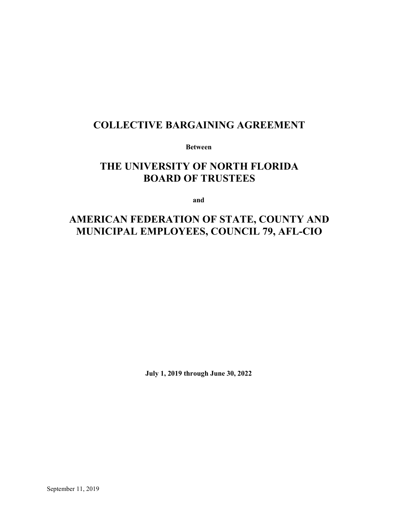## **COLLECTIVE BARGAINING AGREEMENT**

**Between**

# **THE UNIVERSITY OF NORTH FLORIDA BOARD OF TRUSTEES**

**and**

# **AMERICAN FEDERATION OF STATE, COUNTY AND MUNICIPAL EMPLOYEES, COUNCIL 79, AFL-CIO**

**July 1, 2019 through June 30, 2022**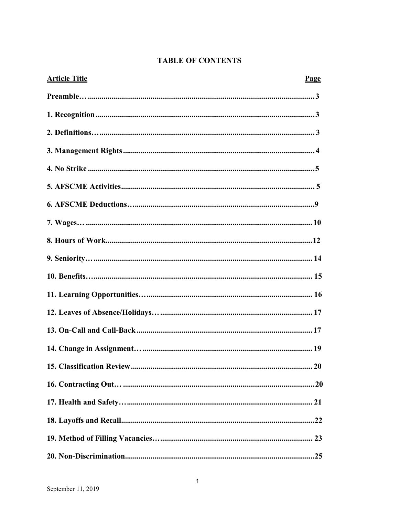|  | <b>TABLE OF CONTENTS</b> |
|--|--------------------------|
|--|--------------------------|

| <b>Article Title</b> | Page |
|----------------------|------|
|                      |      |
|                      |      |
|                      |      |
|                      |      |
|                      |      |
|                      |      |
|                      |      |
|                      |      |
|                      |      |
|                      |      |
|                      |      |
|                      |      |
|                      |      |
|                      |      |
|                      |      |
|                      |      |
|                      |      |
|                      |      |
|                      |      |
|                      |      |
|                      |      |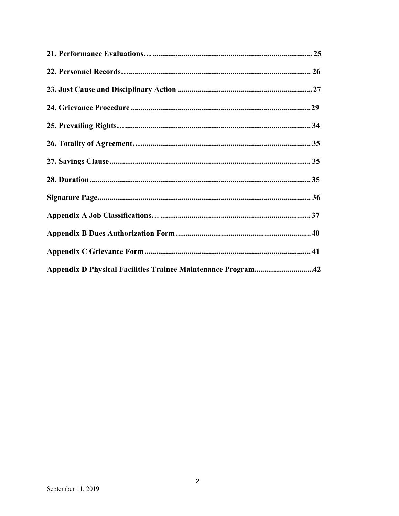| Appendix D Physical Facilities Trainee Maintenance Program42 |  |
|--------------------------------------------------------------|--|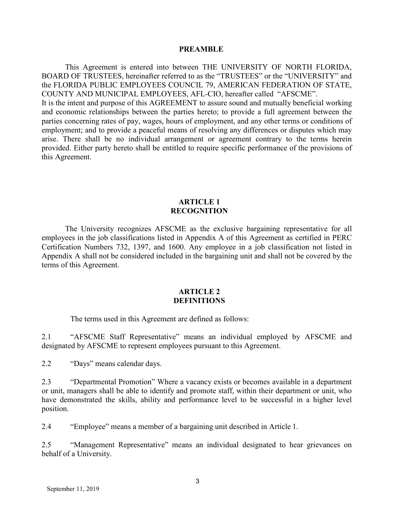#### **PREAMBLE**

<span id="page-3-0"></span>This Agreement is entered into between THE UNIVERSITY OF NORTH FLORIDA, BOARD OF TRUSTEES, hereinafter referred to as the "TRUSTEES" or the "UNIVERSITY" and the FLORIDA PUBLIC EMPLOYEES COUNCIL 79, AMERICAN FEDERATION OF STATE, COUNTY AND MUNICIPAL EMPLOYEES, AFL-CIO, hereafter called "AFSCME". It is the intent and purpose of this AGREEMENT to assure sound and mutually beneficial working and economic relationships between the parties hereto; to provide a full agreement between the parties concerning rates of pay, wages, hours of employment, and any other terms or conditions of employment; and to provide a peaceful means of resolving any differences or disputes which may arise. There shall be no individual arrangement or agreement contrary to the terms herein provided. Either party hereto shall be entitled to require specific performance of the provisions of this Agreement.

#### **ARTICLE 1 RECOGNITION**

The University recognizes AFSCME as the exclusive bargaining representative for all employees in the job classifications listed in Appendix A of this Agreement as certified in PERC Certification Numbers 732, 1397, and 1600. Any employee in a job classification not listed in Appendix A shall not be considered included in the bargaining unit and shall not be covered by the terms of this Agreement.

#### **ARTICLE 2 DEFINITIONS**

The terms used in this Agreement are defined as follows:

2.1 "AFSCME Staff Representative" means an individual employed by AFSCME and designated by AFSCME to represent employees pursuant to this Agreement.

2.2 "Days" means calendar days.

2.3 "Departmental Promotion" Where a vacancy exists or becomes available in a department or unit, managers shall be able to identify and promote staff, within their department or unit, who have demonstrated the skills, ability and performance level to be successful in a higher level position.

2.4 "Employee" means a member of a bargaining unit described in Article 1.

2.5 "Management Representative" means an individual designated to hear grievances on behalf of a University.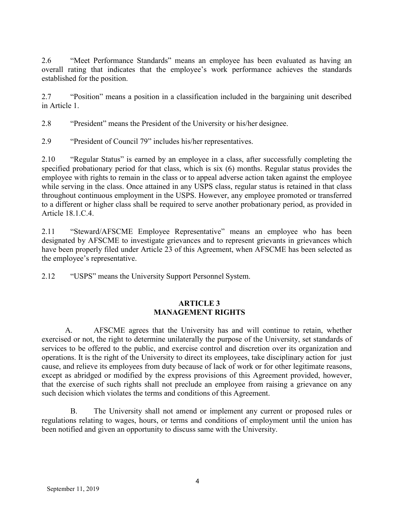2.6 "Meet Performance Standards" means an employee has been evaluated as having an overall rating that indicates that the employee's work performance achieves the standards established for the position.

2.7 "Position" means a position in a classification included in the bargaining unit described in Article 1.

2.8 "President" means the President of the University or his/her designee.

2.9 "President of Council 79" includes his/her representatives.

2.10 "Regular Status" is earned by an employee in a class, after successfully completing the specified probationary period for that class, which is six (6) months. Regular status provides the employee with rights to remain in the class or to appeal adverse action taken against the employee while serving in the class. Once attained in any USPS class, regular status is retained in that class throughout continuous employment in the USPS. However, any employee promoted or transferred to a different or higher class shall be required to serve another probationary period, as provided in Article 18.1.C.4.

2.11 "Steward/AFSCME Employee Representative" means an employee who has been designated by AFSCME to investigate grievances and to represent grievants in grievances which have been properly filed under Article 23 of this Agreement, when AFSCME has been selected as the employee's representative.

2.12 "USPS" means the University Support Personnel System.

## **ARTICLE 3 MANAGEMENT RIGHTS**

A. AFSCME agrees that the University has and will continue to retain, whether exercised or not, the right to determine unilaterally the purpose of the University, set standards of services to be offered to the public, and exercise control and discretion over its organization and operations. It is the right of the University to direct its employees, take disciplinary action for just cause, and relieve its employees from duty because of lack of work or for other legitimate reasons, except as abridged or modified by the express provisions of this Agreement provided, however, that the exercise of such rights shall not preclude an employee from raising a grievance on any such decision which violates the terms and conditions of this Agreement.

B. The University shall not amend or implement any current or proposed rules or regulations relating to wages, hours, or terms and conditions of employment until the union has been notified and given an opportunity to discuss same with the University.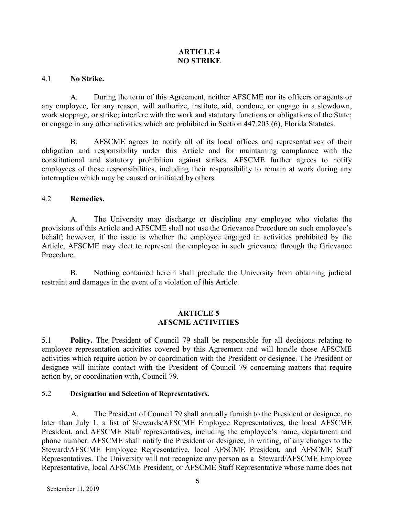### **ARTICLE 4 NO STRIKE**

#### 4.1 **No Strike.**

A. During the term of this Agreement, neither AFSCME nor its officers or agents or any employee, for any reason, will authorize, institute, aid, condone, or engage in a slowdown, work stoppage, or strike; interfere with the work and statutory functions or obligations of the State; or engage in any other activities which are prohibited in Section 447.203 (6), Florida Statutes.

B. AFSCME agrees to notify all of its local offices and representatives of their obligation and responsibility under this Article and for maintaining compliance with the constitutional and statutory prohibition against strikes. AFSCME further agrees to notify employees of these responsibilities, including their responsibility to remain at work during any interruption which may be caused or initiated by others.

### 4.2 **Remedies.**

A. The University may discharge or discipline any employee who violates the provisions of this Article and AFSCME shall not use the Grievance Procedure on such employee's behalf; however, if the issue is whether the employee engaged in activities prohibited by the Article, AFSCME may elect to represent the employee in such grievance through the Grievance Procedure.

B. Nothing contained herein shall preclude the University from obtaining judicial restraint and damages in the event of a violation of this Article.

### **ARTICLE 5 AFSCME ACTIVITIES**

5.1 **Policy.** The President of Council 79 shall be responsible for all decisions relating to employee representation activities covered by this Agreement and will handle those AFSCME activities which require action by or coordination with the President or designee. The President or designee will initiate contact with the President of Council 79 concerning matters that require action by, or coordination with, Council 79.

#### 5.2 **Designation and Selection of Representatives.**

A. The President of Council 79 shall annually furnish to the President or designee, no later than July 1, a list of Stewards/AFSCME Employee Representatives, the local AFSCME President, and AFSCME Staff representatives, including the employee's name, department and phone number. AFSCME shall notify the President or designee, in writing, of any changes to the Steward/AFSCME Employee Representative, local AFSCME President, and AFSCME Staff Representatives. The University will not recognize any person as a Steward/AFSCME Employee Representative, local AFSCME President, or AFSCME Staff Representative whose name does not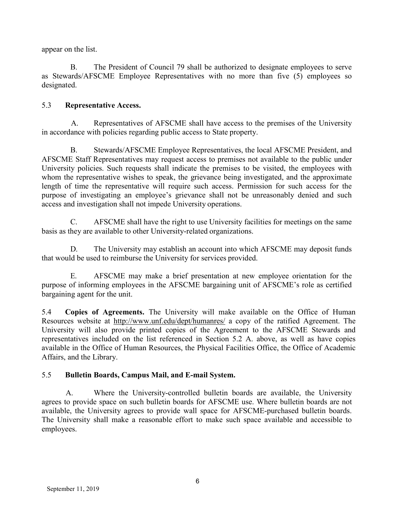appear on the list.

B. The President of Council 79 shall be authorized to designate employees to serve as Stewards/AFSCME Employee Representatives with no more than five (5) employees so designated.

## 5.3 **Representative Access.**

A. Representatives of AFSCME shall have access to the premises of the University in accordance with policies regarding public access to State property.

B. Stewards/AFSCME Employee Representatives, the local AFSCME President, and AFSCME Staff Representatives may request access to premises not available to the public under University policies. Such requests shall indicate the premises to be visited, the employees with whom the representative wishes to speak, the grievance being investigated, and the approximate length of time the representative will require such access. Permission for such access for the purpose of investigating an employee's grievance shall not be unreasonably denied and such access and investigation shall not impede University operations.

C. AFSCME shall have the right to use University facilities for meetings on the same basis as they are available to other University-related organizations.

D. The University may establish an account into which AFSCME may deposit funds that would be used to reimburse the University for services provided.

E. AFSCME may make a brief presentation at new employee orientation for the purpose of informing employees in the AFSCME bargaining unit of AFSCME's role as certified bargaining agent for the unit.

5.4 **Copies of Agreements.** The University will make available on the Office of Human Resources website at<http://www.unf.edu/dept/humanres/> a copy of the ratified Agreement. The University will also provide printed copies of the Agreement to the AFSCME Stewards and representatives included on the list referenced in Section 5.2 A. above, as well as have copies available in the Office of Human Resources, the Physical Facilities Office, the Office of Academic Affairs, and the Library.

## 5.5 **Bulletin Boards, Campus Mail, and E-mail System.**

A. Where the University-controlled bulletin boards are available, the University agrees to provide space on such bulletin boards for AFSCME use. Where bulletin boards are not available, the University agrees to provide wall space for AFSCME-purchased bulletin boards. The University shall make a reasonable effort to make such space available and accessible to employees.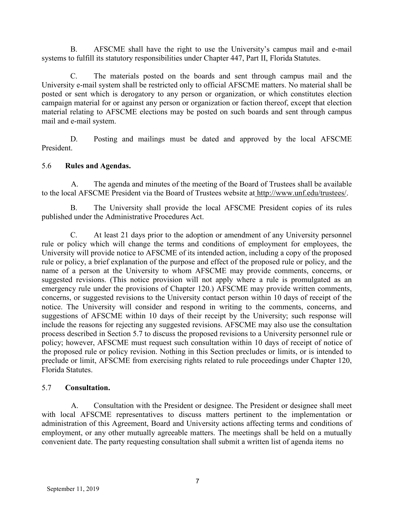B. AFSCME shall have the right to use the University's campus mail and e-mail systems to fulfill its statutory responsibilities under Chapter 447, Part II, Florida Statutes.

C. The materials posted on the boards and sent through campus mail and the University e-mail system shall be restricted only to official AFSCME matters. No material shall be posted or sent which is derogatory to any person or organization, or which constitutes election campaign material for or against any person or organization or faction thereof, except that election material relating to AFSCME elections may be posted on such boards and sent through campus mail and e-mail system.

D. Posting and mailings must be dated and approved by the local AFSCME President.

### 5.6 **Rules and Agendas.**

A. The agenda and minutes of the meeting of the Board of Trustees shall be available to the local AFSCME President via the Board of Trustees website at [http://www.unf.edu/trustees/.](http://www.unf.edu/trustees/)

B. The University shall provide the local AFSCME President copies of its rules published under the Administrative Procedures Act.

C. At least 21 days prior to the adoption or amendment of any University personnel rule or policy which will change the terms and conditions of employment for employees, the University will provide notice to AFSCME of its intended action, including a copy of the proposed rule or policy, a brief explanation of the purpose and effect of the proposed rule or policy, and the name of a person at the University to whom AFSCME may provide comments, concerns, or suggested revisions. (This notice provision will not apply where a rule is promulgated as an emergency rule under the provisions of Chapter 120.) AFSCME may provide written comments, concerns, or suggested revisions to the University contact person within 10 days of receipt of the notice. The University will consider and respond in writing to the comments, concerns, and suggestions of AFSCME within 10 days of their receipt by the University; such response will include the reasons for rejecting any suggested revisions. AFSCME may also use the consultation process described in Section 5.7 to discuss the proposed revisions to a University personnel rule or policy; however, AFSCME must request such consultation within 10 days of receipt of notice of the proposed rule or policy revision. Nothing in this Section precludes or limits, or is intended to preclude or limit, AFSCME from exercising rights related to rule proceedings under Chapter 120, Florida Statutes.

## 5.7 **Consultation.**

A. Consultation with the President or designee. The President or designee shall meet with local AFSCME representatives to discuss matters pertinent to the implementation or administration of this Agreement, Board and University actions affecting terms and conditions of employment, or any other mutually agreeable matters. The meetings shall be held on a mutually convenient date. The party requesting consultation shall submit a written list of agenda items no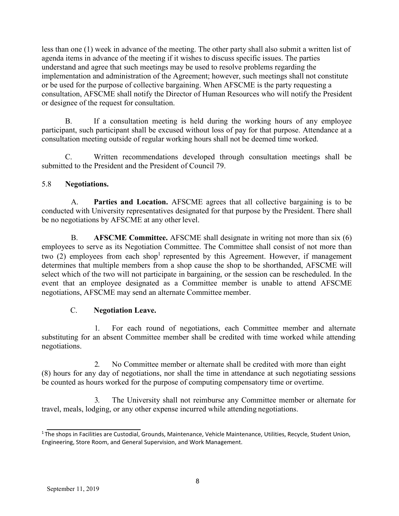less than one (1) week in advance of the meeting. The other party shall also submit a written list of agenda items in advance of the meeting if it wishes to discuss specific issues. The parties understand and agree that such meetings may be used to resolve problems regarding the implementation and administration of the Agreement; however, such meetings shall not constitute or be used for the purpose of collective bargaining. When AFSCME is the party requesting a consultation, AFSCME shall notify the Director of Human Resources who will notify the President or designee of the request for consultation.

B. If a consultation meeting is held during the working hours of any employee participant, such participant shall be excused without loss of pay for that purpose. Attendance at a consultation meeting outside of regular working hours shall not be deemed time worked.

C. Written recommendations developed through consultation meetings shall be submitted to the President and the President of Council 79.

## 5.8 **Negotiations.**

A. **Parties and Location.** AFSCME agrees that all collective bargaining is to be conducted with University representatives designated for that purpose by the President. There shall be no negotiations by AFSCME at any other level.

B. **AFSCME Committee.** AFSCME shall designate in writing not more than six (6) employees to serve as its Negotiation Committee. The Committee shall consist of not more than two (2) employees from each shop<sup>1</sup> represented by this Agreement. However, if management determines that multiple members from a shop cause the shop to be shorthanded, AFSCME will select which of the two will not participate in bargaining, or the session can be rescheduled. In the event that an employee designated as a Committee member is unable to attend AFSCME negotiations, AFSCME may send an alternate Committee member.

## C. **Negotiation Leave.**

1. For each round of negotiations, each Committee member and alternate substituting for an absent Committee member shall be credited with time worked while attending negotiations.

2. No Committee member or alternate shall be credited with more than eight (8) hours for any day of negotiations, nor shall the time in attendance at such negotiating sessions be counted as hours worked for the purpose of computing compensatory time or overtime.

3. The University shall not reimburse any Committee member or alternate for travel, meals, lodging, or any other expense incurred while attending negotiations.

<sup>&</sup>lt;sup>1</sup> The shops in Facilities are Custodial, Grounds, Maintenance, Vehicle Maintenance, Utilities, Recycle, Student Union, Engineering, Store Room, and General Supervision, and Work Management.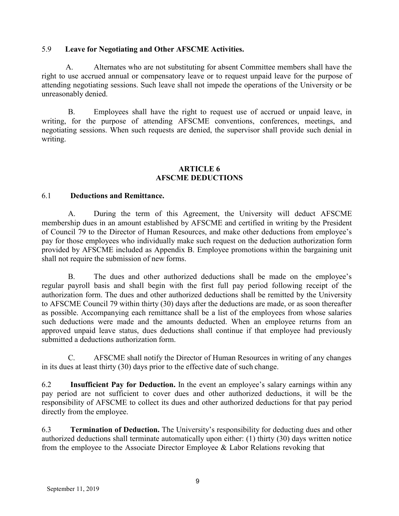#### 5.9 **Leave for Negotiating and Other AFSCME Activities.**

A. Alternates who are not substituting for absent Committee members shall have the right to use accrued annual or compensatory leave or to request unpaid leave for the purpose of attending negotiating sessions. Such leave shall not impede the operations of the University or be unreasonably denied.

B. Employees shall have the right to request use of accrued or unpaid leave, in writing, for the purpose of attending AFSCME conventions, conferences, meetings, and negotiating sessions. When such requests are denied, the supervisor shall provide such denial in writing.

#### **ARTICLE 6 AFSCME DEDUCTIONS**

#### 6.1 **Deductions and Remittance.**

A. During the term of this Agreement, the University will deduct AFSCME membership dues in an amount established by AFSCME and certified in writing by the President of Council 79 to the Director of Human Resources, and make other deductions from employee's pay for those employees who individually make such request on the deduction authorization form provided by AFSCME included as Appendix B. Employee promotions within the bargaining unit shall not require the submission of new forms.

B. The dues and other authorized deductions shall be made on the employee's regular payroll basis and shall begin with the first full pay period following receipt of the authorization form. The dues and other authorized deductions shall be remitted by the University to AFSCME Council 79 within thirty (30) days after the deductions are made, or as soon thereafter as possible. Accompanying each remittance shall be a list of the employees from whose salaries such deductions were made and the amounts deducted. When an employee returns from an approved unpaid leave status, dues deductions shall continue if that employee had previously submitted a deductions authorization form.

C. AFSCME shall notify the Director of Human Resources in writing of any changes in its dues at least thirty (30) days prior to the effective date of such change.

6.2 **Insufficient Pay for Deduction.** In the event an employee's salary earnings within any pay period are not sufficient to cover dues and other authorized deductions, it will be the responsibility of AFSCME to collect its dues and other authorized deductions for that pay period directly from the employee.

6.3 **Termination of Deduction.** The University's responsibility for deducting dues and other authorized deductions shall terminate automatically upon either: (1) thirty (30) days written notice from the employee to the Associate Director Employee & Labor Relations revoking that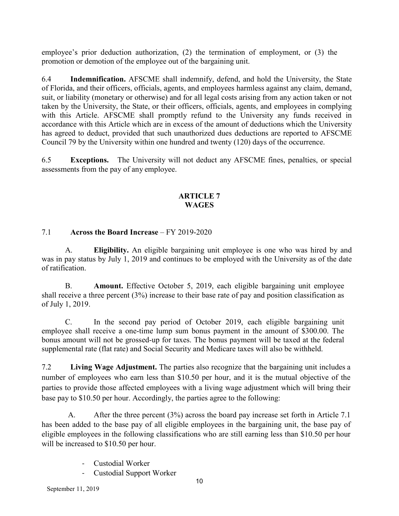employee's prior deduction authorization, (2) the termination of employment, or (3) the promotion or demotion of the employee out of the bargaining unit.

6.4 **Indemnification.** AFSCME shall indemnify, defend, and hold the University, the State of Florida, and their officers, officials, agents, and employees harmless against any claim, demand, suit, or liability (monetary or otherwise) and for all legal costs arising from any action taken or not taken by the University, the State, or their officers, officials, agents, and employees in complying with this Article. AFSCME shall promptly refund to the University any funds received in accordance with this Article which are in excess of the amount of deductions which the University has agreed to deduct, provided that such unauthorized dues deductions are reported to AFSCME Council 79 by the University within one hundred and twenty (120) days of the occurrence.

6.5 **Exceptions.** The University will not deduct any AFSCME fines, penalties, or special assessments from the pay of any employee.

## **ARTICLE 7 WAGES**

## 7.1 **Across the Board Increase** – FY 2019-2020

A. **Eligibility.** An eligible bargaining unit employee is one who was hired by and was in pay status by July 1, 2019 and continues to be employed with the University as of the date of ratification.

B. **Amount.** Effective October 5, 2019, each eligible bargaining unit employee shall receive a three percent (3%) increase to their base rate of pay and position classification as of July 1, 2019.

C. In the second pay period of October 2019, each eligible bargaining unit employee shall receive a one-time lump sum bonus payment in the amount of \$300.00. The bonus amount will not be grossed-up for taxes. The bonus payment will be taxed at the federal supplemental rate (flat rate) and Social Security and Medicare taxes will also be withheld.

7.2 **Living Wage Adjustment.** The parties also recognize that the bargaining unit includes a number of employees who earn less than \$10.50 per hour, and it is the mutual objective of the parties to provide those affected employees with a living wage adjustment which will bring their base pay to \$10.50 per hour. Accordingly, the parties agree to the following:

A. After the three percent (3%) across the board pay increase set forth in Article 7.1 has been added to the base pay of all eligible employees in the bargaining unit, the base pay of eligible employees in the following classifications who are still earning less than \$10.50 per hour will be increased to \$10.50 per hour.

- Custodial Worker
- Custodial Support Worker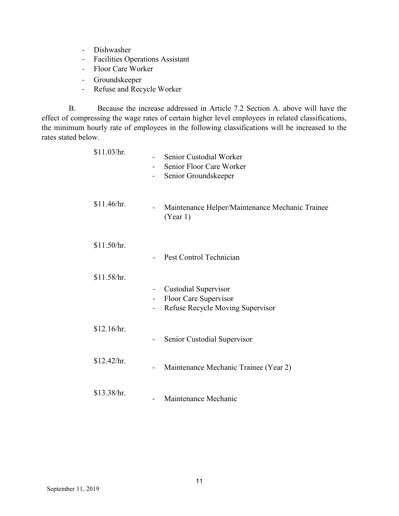- Dishwasher
- Facilities Operations Assistant
- Floor Care Worker
- Groundskeeper
- Refuse and Recycle Worker

B. Because the increase addressed in Article 7.2 Section A. above will have the effect of compressing the wage rates of certain higher level employees in related classifications, the minimum hourly rate of employees in the following classifications will be increased to the rates stated below.

| \$11.03/hr. | Senior Custodial Worker<br>-<br>Senior Floor Care Worker<br>Senior Groundskeeper                                                              |
|-------------|-----------------------------------------------------------------------------------------------------------------------------------------------|
| \$11.46/hr. | Maintenance Helper/Maintenance Mechanic Trainee<br>$\qquad \qquad \blacksquare$<br>(Year 1)                                                   |
| \$11.50/hr. | Pest Control Technician                                                                                                                       |
| \$11.58/hr. | <b>Custodial Supervisor</b><br>$\qquad \qquad -$<br>Floor Care Supervisor<br>$\qquad \qquad \blacksquare$<br>Refuse Recycle Moving Supervisor |
| \$12.16/hr. | Senior Custodial Supervisor                                                                                                                   |
| \$12.42/hr. | Maintenance Mechanic Trainee (Year 2)<br>-                                                                                                    |
| \$13.38/hr. | Maintenance Mechanic<br>$\overline{\phantom{0}}$                                                                                              |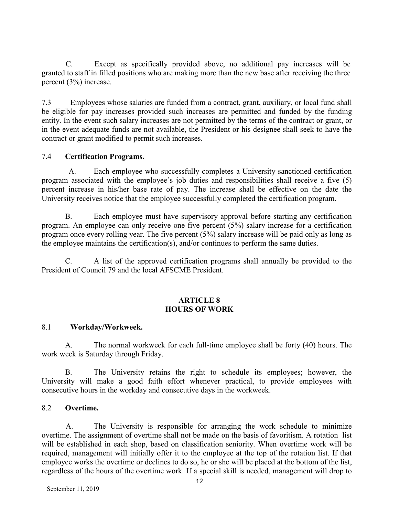C. Except as specifically provided above, no additional pay increases will be granted to staff in filled positions who are making more than the new base after receiving the three percent (3%) increase.

7.3 Employees whose salaries are funded from a contract, grant, auxiliary, or local fund shall be eligible for pay increases provided such increases are permitted and funded by the funding entity. In the event such salary increases are not permitted by the terms of the contract or grant, or in the event adequate funds are not available, the President or his designee shall seek to have the contract or grant modified to permit such increases.

### 7.4 **Certification Programs.**

A. Each employee who successfully completes a University sanctioned certification program associated with the employee's job duties and responsibilities shall receive a five (5) percent increase in his/her base rate of pay. The increase shall be effective on the date the University receives notice that the employee successfully completed the certification program.

B. Each employee must have supervisory approval before starting any certification program. An employee can only receive one five percent (5%) salary increase for a certification program once every rolling year. The five percent (5%) salary increase will be paid only as long as the employee maintains the certification(s), and/or continues to perform the same duties.

C. A list of the approved certification programs shall annually be provided to the President of Council 79 and the local AFSCME President.

#### **ARTICLE 8 HOURS OF WORK**

#### 8.1 **Workday/Workweek.**

A. The normal workweek for each full-time employee shall be forty (40) hours. The work week is Saturday through Friday.

B. The University retains the right to schedule its employees; however, the University will make a good faith effort whenever practical, to provide employees with consecutive hours in the workday and consecutive days in the workweek.

#### 8.2 **Overtime.**

A. The University is responsible for arranging the work schedule to minimize overtime. The assignment of overtime shall not be made on the basis of favoritism. A rotation list will be established in each shop, based on classification seniority. When overtime work will be required, management will initially offer it to the employee at the top of the rotation list. If that employee works the overtime or declines to do so, he or she will be placed at the bottom of the list, regardless of the hours of the overtime work. If a special skill is needed, management will drop to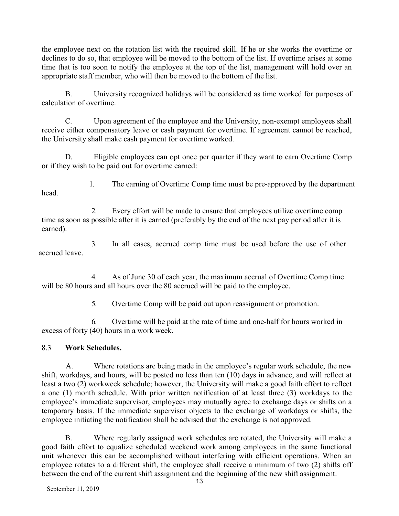the employee next on the rotation list with the required skill. If he or she works the overtime or declines to do so, that employee will be moved to the bottom of the list. If overtime arises at some time that is too soon to notify the employee at the top of the list, management will hold over an appropriate staff member, who will then be moved to the bottom of the list.

B. University recognized holidays will be considered as time worked for purposes of calculation of overtime.

C. Upon agreement of the employee and the University, non-exempt employees shall receive either compensatory leave or cash payment for overtime. If agreement cannot be reached, the University shall make cash payment for overtime worked.

D. Eligible employees can opt once per quarter if they want to earn Overtime Comp or if they wish to be paid out for overtime earned:

head.

1. The earning of Overtime Comp time must be pre-approved by the department

2. Every effort will be made to ensure that employees utilize overtime comp time as soon as possible after it is earned (preferably by the end of the next pay period after it is earned).

3. In all cases, accrued comp time must be used before the use of other accrued leave.

4. As of June 30 of each year, the maximum accrual of Overtime Comp time will be 80 hours and all hours over the 80 accrued will be paid to the employee.

5. Overtime Comp will be paid out upon reassignment or promotion.

6. Overtime will be paid at the rate of time and one-half for hours worked in excess of forty (40) hours in a work week.

## 8.3 **Work Schedules.**

A. Where rotations are being made in the employee's regular work schedule, the new shift, workdays, and hours, will be posted no less than ten (10) days in advance, and will reflect at least a two (2) workweek schedule; however, the University will make a good faith effort to reflect a one (1) month schedule. With prior written notification of at least three (3) workdays to the employee's immediate supervisor, employees may mutually agree to exchange days or shifts on a temporary basis. If the immediate supervisor objects to the exchange of workdays or shifts, the employee initiating the notification shall be advised that the exchange is not approved.

B. Where regularly assigned work schedules are rotated, the University will make a good faith effort to equalize scheduled weekend work among employees in the same functional unit whenever this can be accomplished without interfering with efficient operations. When an employee rotates to a different shift, the employee shall receive a minimum of two (2) shifts off between the end of the current shift assignment and the beginning of the new shift assignment.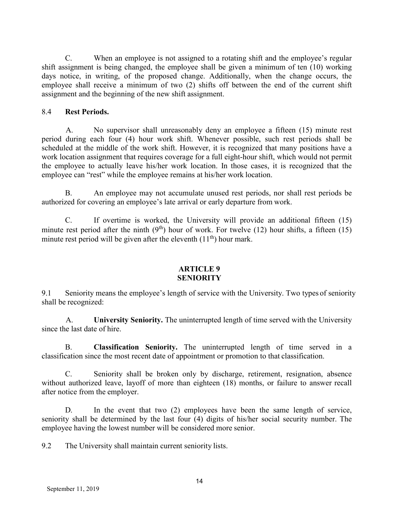C. When an employee is not assigned to a rotating shift and the employee's regular shift assignment is being changed, the employee shall be given a minimum of ten (10) working days notice, in writing, of the proposed change. Additionally, when the change occurs, the employee shall receive a minimum of two (2) shifts off between the end of the current shift assignment and the beginning of the new shift assignment.

#### 8.4 **Rest Periods.**

A. No supervisor shall unreasonably deny an employee a fifteen (15) minute rest period during each four (4) hour work shift. Whenever possible, such rest periods shall be scheduled at the middle of the work shift. However, it is recognized that many positions have a work location assignment that requires coverage for a full eight-hour shift, which would not permit the employee to actually leave his/her work location. In those cases, it is recognized that the employee can "rest" while the employee remains at his/her work location.

B. An employee may not accumulate unused rest periods, nor shall rest periods be authorized for covering an employee's late arrival or early departure from work.

C. If overtime is worked, the University will provide an additional fifteen (15) minute rest period after the ninth  $(9<sup>th</sup>)$  hour of work. For twelve (12) hour shifts, a fifteen (15) minute rest period will be given after the eleventh  $(11<sup>th</sup>)$  hour mark.

#### **ARTICLE 9 SENIORITY**

9.1 Seniority means the employee's length of service with the University. Two types of seniority shall be recognized:

A. **University Seniority.** The uninterrupted length of time served with the University since the last date of hire.

B. **Classification Seniority.** The uninterrupted length of time served in a classification since the most recent date of appointment or promotion to that classification.

C. Seniority shall be broken only by discharge, retirement, resignation, absence without authorized leave, layoff of more than eighteen (18) months, or failure to answer recall after notice from the employer.

D. In the event that two (2) employees have been the same length of service, seniority shall be determined by the last four (4) digits of his/her social security number. The employee having the lowest number will be considered more senior.

9.2 The University shall maintain current seniority lists.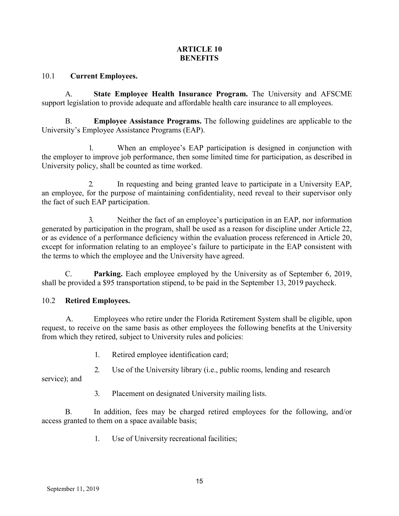### **ARTICLE 10 BENEFITS**

#### 10.1 **Current Employees.**

A. **State Employee Health Insurance Program.** The University and AFSCME support legislation to provide adequate and affordable health care insurance to all employees.

B. **Employee Assistance Programs.** The following guidelines are applicable to the University's Employee Assistance Programs (EAP).

When an employee's EAP participation is designed in conjunction with the employer to improve job performance, then some limited time for participation, as described in University policy, shall be counted as time worked.

2. In requesting and being granted leave to participate in a University EAP, an employee, for the purpose of maintaining confidentiality, need reveal to their supervisor only the fact of such EAP participation.

3. Neither the fact of an employee's participation in an EAP, nor information generated by participation in the program, shall be used as a reason for discipline under Article 22, or as evidence of a performance deficiency within the evaluation process referenced in Article 20, except for information relating to an employee's failure to participate in the EAP consistent with the terms to which the employee and the University have agreed.

C. **Parking.** Each employee employed by the University as of September 6, 2019, shall be provided a \$95 transportation stipend, to be paid in the September 13, 2019 paycheck.

## 10.2 **Retired Employees.**

A. Employees who retire under the Florida Retirement System shall be eligible, upon request, to receive on the same basis as other employees the following benefits at the University from which they retired, subject to University rules and policies:

- 1. Retired employee identification card;
- 2. Use of the University library (i.e., public rooms, lending and research

service); and

3. Placement on designated University mailing lists.

B. In addition, fees may be charged retired employees for the following, and/or access granted to them on a space available basis;

1. Use of University recreational facilities;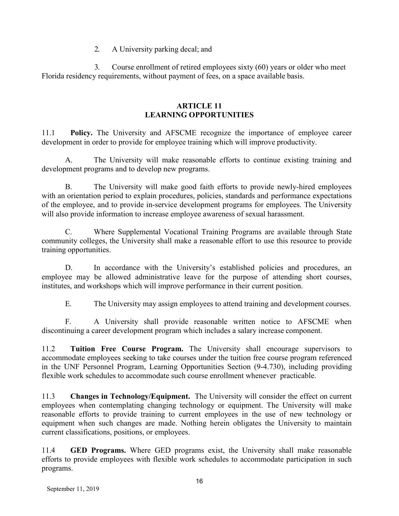#### 2. A University parking decal; and

3. Course enrollment of retired employees sixty (60) years or older who meet Florida residency requirements, without payment of fees, on a space available basis.

#### **ARTICLE 11 LEARNING OPPORTUNITIES**

11.1 **Policy.** The University and AFSCME recognize the importance of employee career development in order to provide for employee training which will improve productivity.

A. The University will make reasonable efforts to continue existing training and development programs and to develop new programs.

B. The University will make good faith efforts to provide newly-hired employees with an orientation period to explain procedures, policies, standards and performance expectations of the employee, and to provide in-service development programs for employees. The University will also provide information to increase employee awareness of sexual harassment.

C. Where Supplemental Vocational Training Programs are available through State community colleges, the University shall make a reasonable effort to use this resource to provide training opportunities.

D. In accordance with the University's established policies and procedures, an employee may be allowed administrative leave for the purpose of attending short courses, institutes, and workshops which will improve performance in their current position.

E. The University may assign employees to attend training and development courses.

F. A University shall provide reasonable written notice to AFSCME when discontinuing a career development program which includes a salary increase component.

11.2 **Tuition Free Course Program.** The University shall encourage supervisors to accommodate employees seeking to take courses under the tuition free course program referenced in the UNF Personnel Program, Learning Opportunities Section (9-4.730), including providing flexible work schedules to accommodate such course enrollment whenever practicable.

11.3 **Changes in Technology/Equipment.** The University will consider the effect on current employees when contemplating changing technology or equipment. The University will make reasonable efforts to provide training to current employees in the use of new technology or equipment when such changes are made. Nothing herein obligates the University to maintain current classifications, positions, or employees.

11.4 **GED Programs.** Where GED programs exist, the University shall make reasonable efforts to provide employees with flexible work schedules to accommodate participation in such programs.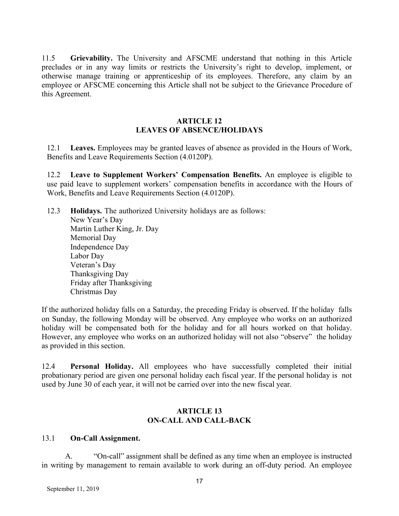11.5 **Grievability.** The University and AFSCME understand that nothing in this Article precludes or in any way limits or restricts the University's right to develop, implement, or otherwise manage training or apprenticeship of its employees. Therefore, any claim by an employee or AFSCME concerning this Article shall not be subject to the Grievance Procedure of this Agreement.

#### **ARTICLE 12 LEAVES OF ABSENCE/HOLIDAYS**

12.1 **Leaves.** Employees may be granted leaves of absence as provided in the Hours of Work, Benefits and Leave Requirements Section (4.0120P).

12.2 **Leave to Supplement Workers' Compensation Benefits.** An employee is eligible to use paid leave to supplement workers' compensation benefits in accordance with the Hours of Work, Benefits and Leave Requirements Section (4.0120P).

12.3 **Holidays.** The authorized University holidays are as follows: New Year's Day Martin Luther King, Jr. Day Memorial Day Independence Day Labor Day Veteran's Day Thanksgiving Day Friday after Thanksgiving Christmas Day

If the authorized holiday falls on a Saturday, the preceding Friday is observed. If the holiday falls on Sunday, the following Monday will be observed. Any employee who works on an authorized holiday will be compensated both for the holiday and for all hours worked on that holiday. However, any employee who works on an authorized holiday will not also "observe" the holiday as provided in this section.

12.4 **Personal Holiday.** All employees who have successfully completed their initial probationary period are given one personal holiday each fiscal year. If the personal holiday is not used by June 30 of each year, it will not be carried over into the new fiscal year.

#### **ARTICLE 13 ON-CALL AND CALL-BACK**

#### 13.1 **On-Call Assignment.**

A. "On-call" assignment shall be defined as any time when an employee is instructed in writing by management to remain available to work during an off-duty period. An employee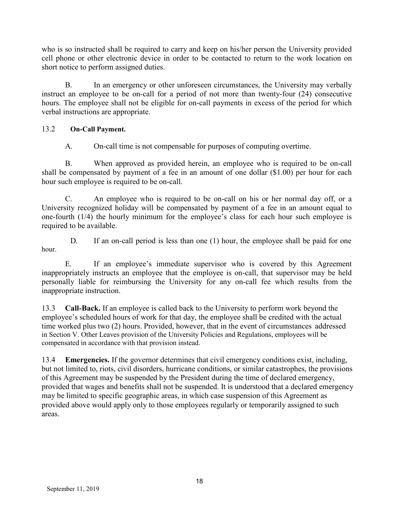who is so instructed shall be required to carry and keep on his/her person the University provided cell phone or other electronic device in order to be contacted to return to the work location on short notice to perform assigned duties.

B. In an emergency or other unforeseen circumstances, the University may verbally instruct an employee to be on-call for a period of not more than twenty-four (24) consecutive hours. The employee shall not be eligible for on-call payments in excess of the period for which verbal instructions are appropriate.

## 13.2 **On-Call Payment.**

A. On-call time is not compensable for purposes of computing overtime.

B. When approved as provided herein, an employee who is required to be on-call shall be compensated by payment of a fee in an amount of one dollar (\$1.00) per hour for each hour such employee is required to be on-call.

C. An employee who is required to be on-call on his or her normal day off, or a University recognized holiday will be compensated by payment of a fee in an amount equal to one-fourth (1/4) the hourly minimum for the employee's class for each hour such employee is required to be available.

D. If an on-call period is less than one (1) hour, the employee shall be paid for one hour.

E. If an employee's immediate supervisor who is covered by this Agreement inappropriately instructs an employee that the employee is on-call, that supervisor may be held personally liable for reimbursing the University for any on-call fee which results from the inappropriate instruction.

13.3 **Call-Back.** If an employee is called back to the University to perform work beyond the employee's scheduled hours of work for that day, the employee shall be credited with the actual time worked plus two (2) hours. Provided, however, that in the event of circumstances addressed in Section V. Other Leaves provision of the University Policies and Regulations, employees will be compensated in accordance with that provision instead.

13.4 **Emergencies.** If the governor determines that civil emergency conditions exist, including, but not limited to, riots, civil disorders, hurricane conditions, or similar catastrophes, the provisions of this Agreement may be suspended by the President during the time of declared emergency, provided that wages and benefits shall not be suspended. It is understood that a declared emergency may be limited to specific geographic areas, in which case suspension of this Agreement as provided above would apply only to those employees regularly or temporarily assigned to such areas.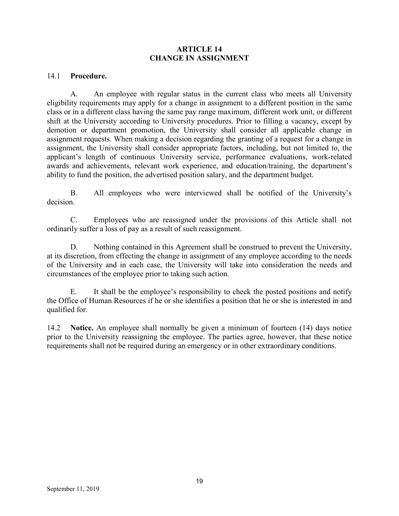#### **ARTICLE 14 CHANGE IN ASSIGNMENT**

#### 14.1 **Procedure.**

A. An employee with regular status in the current class who meets all University eligibility requirements may apply for a change in assignment to a different position in the same class or in a different class having the same pay range maximum, different work unit, or different shift at the University according to University procedures. Prior to filling a vacancy, except by demotion or department promotion, the University shall consider all applicable change in assignment requests. When making a decision regarding the granting of a request for a change in assignment, the University shall consider appropriate factors, including, but not limited to, the applicant's length of continuous University service, performance evaluations, work-related awards and achievements, relevant work experience, and education/training, the department's ability to fund the position, the advertised position salary, and the department budget.

B. All employees who were interviewed shall be notified of the University's decision.

C. Employees who are reassigned under the provisions of this Article shall not ordinarily suffer a loss of pay as a result of such reassignment.

D. Nothing contained in this Agreement shall be construed to prevent the University, at its discretion, from effecting the change in assignment of any employee according to the needs of the University and in each case, the University will take into consideration the needs and circumstances of the employee prior to taking such action.

E. It shall be the employee's responsibility to check the posted positions and notify the Office of Human Resources if he or she identifies a position that he or she is interested in and qualified for.

14.2 **Notice.** An employee shall normally be given a minimum of fourteen (14) days notice prior to the University reassigning the employee. The parties agree, however, that these notice requirements shall not be required during an emergency or in other extraordinary conditions.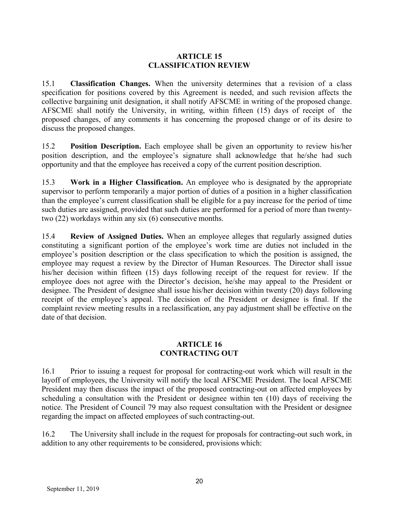### **ARTICLE 15 CLASSIFICATION REVIEW**

15.1 **Classification Changes.** When the university determines that a revision of a class specification for positions covered by this Agreement is needed, and such revision affects the collective bargaining unit designation, it shall notify AFSCME in writing of the proposed change. AFSCME shall notify the University, in writing, within fifteen (15) days of receipt of the proposed changes, of any comments it has concerning the proposed change or of its desire to discuss the proposed changes.

15.2 **Position Description.** Each employee shall be given an opportunity to review his/her position description, and the employee's signature shall acknowledge that he/she had such opportunity and that the employee has received a copy of the current position description.

15.3 **Work in a Higher Classification.** An employee who is designated by the appropriate supervisor to perform temporarily a major portion of duties of a position in a higher classification than the employee's current classification shall be eligible for a pay increase for the period of time such duties are assigned, provided that such duties are performed for a period of more than twentytwo (22) workdays within any six (6) consecutive months.

15.4 **Review of Assigned Duties.** When an employee alleges that regularly assigned duties constituting a significant portion of the employee's work time are duties not included in the employee's position description or the class specification to which the position is assigned, the employee may request a review by the Director of Human Resources. The Director shall issue his/her decision within fifteen (15) days following receipt of the request for review. If the employee does not agree with the Director's decision, he/she may appeal to the President or designee. The President of designee shall issue his/her decision within twenty (20) days following receipt of the employee's appeal. The decision of the President or designee is final. If the complaint review meeting results in a reclassification, any pay adjustment shall be effective on the date of that decision.

### **ARTICLE 16 CONTRACTING OUT**

16.1 Prior to issuing a request for proposal for contracting-out work which will result in the layoff of employees, the University will notify the local AFSCME President. The local AFSCME President may then discuss the impact of the proposed contracting-out on affected employees by scheduling a consultation with the President or designee within ten (10) days of receiving the notice. The President of Council 79 may also request consultation with the President or designee regarding the impact on affected employees of such contracting-out.

16.2 The University shall include in the request for proposals for contracting-out such work, in addition to any other requirements to be considered, provisions which: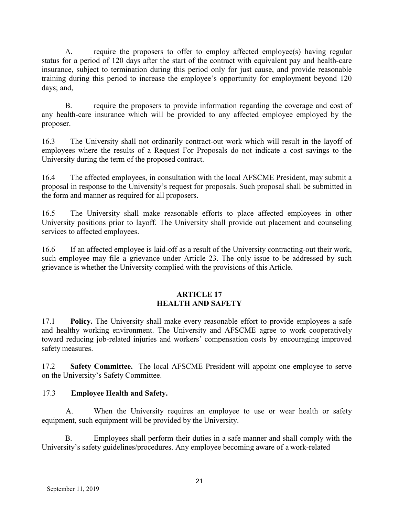A. require the proposers to offer to employ affected employee(s) having regular status for a period of 120 days after the start of the contract with equivalent pay and health-care insurance, subject to termination during this period only for just cause, and provide reasonable training during this period to increase the employee's opportunity for employment beyond 120 days; and,

B. require the proposers to provide information regarding the coverage and cost of any health-care insurance which will be provided to any affected employee employed by the proposer.

16.3 The University shall not ordinarily contract-out work which will result in the layoff of employees where the results of a Request For Proposals do not indicate a cost savings to the University during the term of the proposed contract.

16.4 The affected employees, in consultation with the local AFSCME President, may submit a proposal in response to the University's request for proposals. Such proposal shall be submitted in the form and manner as required for all proposers.

16.5 The University shall make reasonable efforts to place affected employees in other University positions prior to layoff. The University shall provide out placement and counseling services to affected employees.

16.6 If an affected employee is laid-off as a result of the University contracting-out their work, such employee may file a grievance under Article 23. The only issue to be addressed by such grievance is whether the University complied with the provisions of this Article.

### **ARTICLE 17 HEALTH AND SAFETY**

17.1 **Policy.** The University shall make every reasonable effort to provide employees a safe and healthy working environment. The University and AFSCME agree to work cooperatively toward reducing job-related injuries and workers' compensation costs by encouraging improved safety measures.

17.2 **Safety Committee.** The local AFSCME President will appoint one employee to serve on the University's Safety Committee.

## 17.3 **Employee Health and Safety.**

A. When the University requires an employee to use or wear health or safety equipment, such equipment will be provided by the University.

B. Employees shall perform their duties in a safe manner and shall comply with the University's safety guidelines/procedures. Any employee becoming aware of a work-related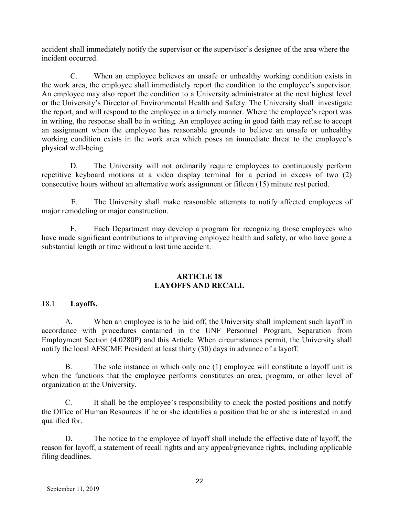accident shall immediately notify the supervisor or the supervisor's designee of the area where the incident occurred.

C. When an employee believes an unsafe or unhealthy working condition exists in the work area, the employee shall immediately report the condition to the employee's supervisor. An employee may also report the condition to a University administrator at the next highest level or the University's Director of Environmental Health and Safety. The University shall investigate the report, and will respond to the employee in a timely manner. Where the employee's report was in writing, the response shall be in writing. An employee acting in good faith may refuse to accept an assignment when the employee has reasonable grounds to believe an unsafe or unhealthy working condition exists in the work area which poses an immediate threat to the employee's physical well-being.

D. The University will not ordinarily require employees to continuously perform repetitive keyboard motions at a video display terminal for a period in excess of two (2) consecutive hours without an alternative work assignment or fifteen (15) minute rest period.

E. The University shall make reasonable attempts to notify affected employees of major remodeling or major construction.

F. Each Department may develop a program for recognizing those employees who have made significant contributions to improving employee health and safety, or who have gone a substantial length or time without a lost time accident.

#### **ARTICLE 18 LAYOFFS AND RECALL**

#### 18.1 **Layoffs.**

A. When an employee is to be laid off, the University shall implement such layoff in accordance with procedures contained in the UNF Personnel Program, Separation from Employment Section (4.0280P) and this Article. When circumstances permit, the University shall notify the local AFSCME President at least thirty (30) days in advance of a layoff.

B. The sole instance in which only one (1) employee will constitute a layoff unit is when the functions that the employee performs constitutes an area, program, or other level of organization at the University.

C. It shall be the employee's responsibility to check the posted positions and notify the Office of Human Resources if he or she identifies a position that he or she is interested in and qualified for.

D. The notice to the employee of layoff shall include the effective date of layoff, the reason for layoff, a statement of recall rights and any appeal/grievance rights, including applicable filing deadlines.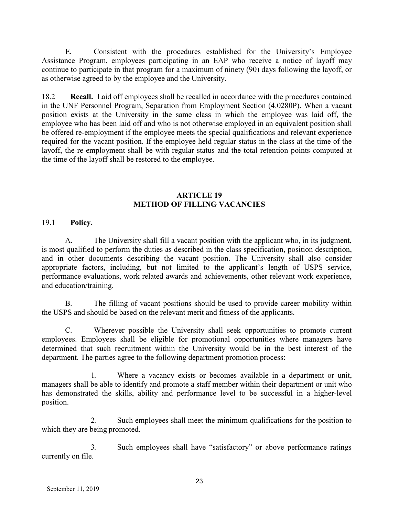E. Consistent with the procedures established for the University's Employee Assistance Program, employees participating in an EAP who receive a notice of layoff may continue to participate in that program for a maximum of ninety (90) days following the layoff, or as otherwise agreed to by the employee and the University.

18.2 **Recall.** Laid off employees shall be recalled in accordance with the procedures contained in the UNF Personnel Program, Separation from Employment Section (4.0280P). When a vacant position exists at the University in the same class in which the employee was laid off, the employee who has been laid off and who is not otherwise employed in an equivalent position shall be offered re-employment if the employee meets the special qualifications and relevant experience required for the vacant position. If the employee held regular status in the class at the time of the layoff, the re-employment shall be with regular status and the total retention points computed at the time of the layoff shall be restored to the employee.

### **ARTICLE 19 METHOD OF FILLING VACANCIES**

19.1 **Policy.**

A. The University shall fill a vacant position with the applicant who, in its judgment, is most qualified to perform the duties as described in the class specification, position description, and in other documents describing the vacant position. The University shall also consider appropriate factors, including, but not limited to the applicant's length of USPS service, performance evaluations, work related awards and achievements, other relevant work experience, and education/training.

B. The filling of vacant positions should be used to provide career mobility within the USPS and should be based on the relevant merit and fitness of the applicants.

C. Wherever possible the University shall seek opportunities to promote current employees. Employees shall be eligible for promotional opportunities where managers have determined that such recruitment within the University would be in the best interest of the department. The parties agree to the following department promotion process:

1. Where a vacancy exists or becomes available in a department or unit, managers shall be able to identify and promote a staff member within their department or unit who has demonstrated the skills, ability and performance level to be successful in a higher-level position.

2. Such employees shall meet the minimum qualifications for the position to which they are being promoted.

3. Such employees shall have "satisfactory" or above performance ratings currently on file.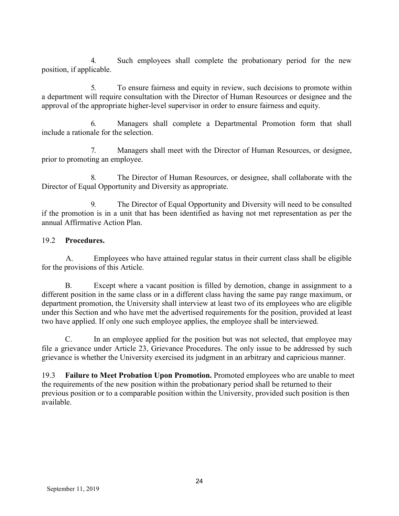4. Such employees shall complete the probationary period for the new position, if applicable.

5. To ensure fairness and equity in review, such decisions to promote within a department will require consultation with the Director of Human Resources or designee and the approval of the appropriate higher-level supervisor in order to ensure fairness and equity.

6. Managers shall complete a Departmental Promotion form that shall include a rationale for the selection.

7. Managers shall meet with the Director of Human Resources, or designee, prior to promoting an employee.

8. The Director of Human Resources, or designee, shall collaborate with the Director of Equal Opportunity and Diversity as appropriate.

9. The Director of Equal Opportunity and Diversity will need to be consulted if the promotion is in a unit that has been identified as having not met representation as per the annual Affirmative Action Plan.

## 19.2 **Procedures.**

A. Employees who have attained regular status in their current class shall be eligible for the provisions of this Article.

B. Except where a vacant position is filled by demotion, change in assignment to a different position in the same class or in a different class having the same pay range maximum, or department promotion, the University shall interview at least two of its employees who are eligible under this Section and who have met the advertised requirements for the position, provided at least two have applied. If only one such employee applies, the employee shall be interviewed.

C. In an employee applied for the position but was not selected, that employee may file a grievance under Article 23, Grievance Procedures. The only issue to be addressed by such grievance is whether the University exercised its judgment in an arbitrary and capricious manner.

19.3 **Failure to Meet Probation Upon Promotion.** Promoted employees who are unable to meet the requirements of the new position within the probationary period shall be returned to their previous position or to a comparable position within the University, provided such position is then available.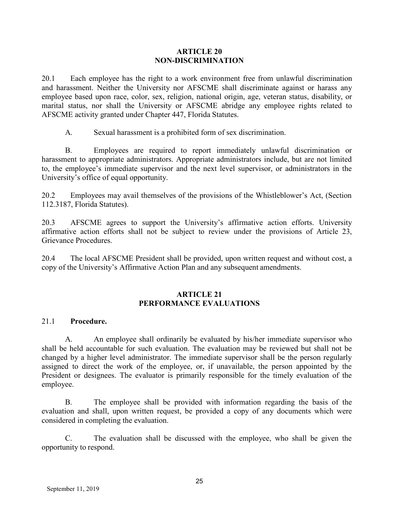#### **ARTICLE 20 NON-DISCRIMINATION**

20.1 Each employee has the right to a work environment free from unlawful discrimination and harassment. Neither the University nor AFSCME shall discriminate against or harass any employee based upon race, color, sex, religion, national origin, age, veteran status, disability, or marital status, nor shall the University or AFSCME abridge any employee rights related to AFSCME activity granted under Chapter 447, Florida Statutes.

A. Sexual harassment is a prohibited form of sex discrimination.

B. Employees are required to report immediately unlawful discrimination or harassment to appropriate administrators. Appropriate administrators include, but are not limited to, the employee's immediate supervisor and the next level supervisor, or administrators in the University's office of equal opportunity.

20.2 Employees may avail themselves of the provisions of the Whistleblower's Act, (Section 112.3187, Florida Statutes).

20.3 AFSCME agrees to support the University's affirmative action efforts. University affirmative action efforts shall not be subject to review under the provisions of Article 23, Grievance Procedures.

20.4 The local AFSCME President shall be provided, upon written request and without cost, a copy of the University's Affirmative Action Plan and any subsequent amendments.

#### **ARTICLE 21 PERFORMANCE EVALUATIONS**

#### 21.1 **Procedure.**

A. An employee shall ordinarily be evaluated by his/her immediate supervisor who shall be held accountable for such evaluation. The evaluation may be reviewed but shall not be changed by a higher level administrator. The immediate supervisor shall be the person regularly assigned to direct the work of the employee, or, if unavailable, the person appointed by the President or designees. The evaluator is primarily responsible for the timely evaluation of the employee.

B. The employee shall be provided with information regarding the basis of the evaluation and shall, upon written request, be provided a copy of any documents which were considered in completing the evaluation.

C. The evaluation shall be discussed with the employee, who shall be given the opportunity to respond.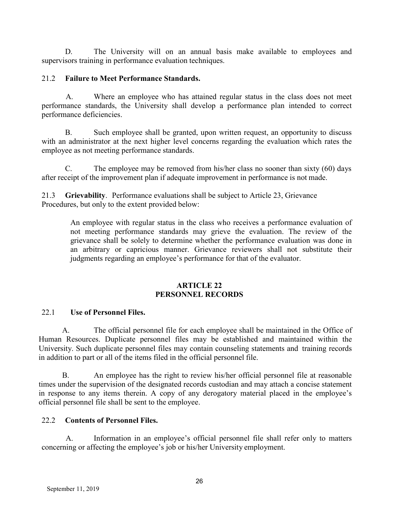D. The University will on an annual basis make available to employees and supervisors training in performance evaluation techniques.

## 21.2 **Failure to Meet Performance Standards.**

A. Where an employee who has attained regular status in the class does not meet performance standards, the University shall develop a performance plan intended to correct performance deficiencies.

B. Such employee shall be granted, upon written request, an opportunity to discuss with an administrator at the next higher level concerns regarding the evaluation which rates the employee as not meeting performance standards.

C. The employee may be removed from his/her class no sooner than sixty (60) days after receipt of the improvement plan if adequate improvement in performance is not made.

21.3 **Grievability**. Performance evaluations shall be subject to Article 23, Grievance Procedures, but only to the extent provided below:

> An employee with regular status in the class who receives a performance evaluation of not meeting performance standards may grieve the evaluation. The review of the grievance shall be solely to determine whether the performance evaluation was done in an arbitrary or capricious manner. Grievance reviewers shall not substitute their judgments regarding an employee's performance for that of the evaluator.

## **ARTICLE 22 PERSONNEL RECORDS**

## 22.1 **Use of Personnel Files.**

A. The official personnel file for each employee shall be maintained in the Office of Human Resources. Duplicate personnel files may be established and maintained within the University. Such duplicate personnel files may contain counseling statements and training records in addition to part or all of the items filed in the official personnel file.

B. An employee has the right to review his/her official personnel file at reasonable times under the supervision of the designated records custodian and may attach a concise statement in response to any items therein. A copy of any derogatory material placed in the employee's official personnel file shall be sent to the employee.

## 22.2 **Contents of Personnel Files.**

A. Information in an employee's official personnel file shall refer only to matters concerning or affecting the employee's job or his/her University employment.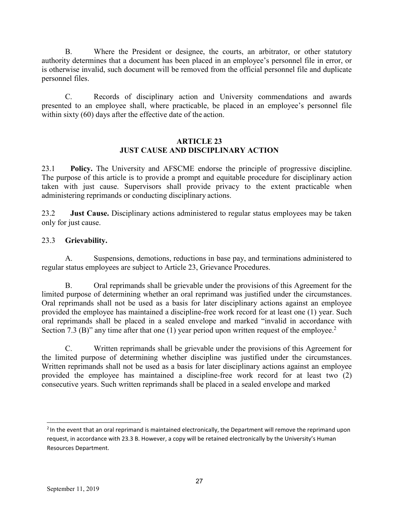B. Where the President or designee, the courts, an arbitrator, or other statutory authority determines that a document has been placed in an employee's personnel file in error, or is otherwise invalid, such document will be removed from the official personnel file and duplicate personnel files.

C. Records of disciplinary action and University commendations and awards presented to an employee shall, where practicable, be placed in an employee's personnel file within sixty (60) days after the effective date of the action.

#### **ARTICLE 23 JUST CAUSE AND DISCIPLINARY ACTION**

23.1 **Policy.** The University and AFSCME endorse the principle of progressive discipline. The purpose of this article is to provide a prompt and equitable procedure for disciplinary action taken with just cause. Supervisors shall provide privacy to the extent practicable when administering reprimands or conducting disciplinary actions.

23.2 **Just Cause.** Disciplinary actions administered to regular status employees may be taken only for just cause.

## 23.3 **Grievability.**

A. Suspensions, demotions, reductions in base pay, and terminations administered to regular status employees are subject to Article 23, Grievance Procedures.

B. Oral reprimands shall be grievable under the provisions of this Agreement for the limited purpose of determining whether an oral reprimand was justified under the circumstances. Oral reprimands shall not be used as a basis for later disciplinary actions against an employee provided the employee has maintained a discipline-free work record for at least one (1) year. Such oral reprimands shall be placed in a sealed envelope and marked "invalid in accordance with Section 7.3 (B)" any time after that one (1) year period upon written request of the employee.<sup>2</sup>

C. Written reprimands shall be grievable under the provisions of this Agreement for the limited purpose of determining whether discipline was justified under the circumstances. Written reprimands shall not be used as a basis for later disciplinary actions against an employee provided the employee has maintained a discipline-free work record for at least two (2) consecutive years. Such written reprimands shall be placed in a sealed envelope and marked

<sup>&</sup>lt;sup>2</sup> In the event that an oral reprimand is maintained electronically, the Department will remove the reprimand upon request, in accordance with 23.3 B. However, a copy will be retained electronically by the University's Human Resources Department.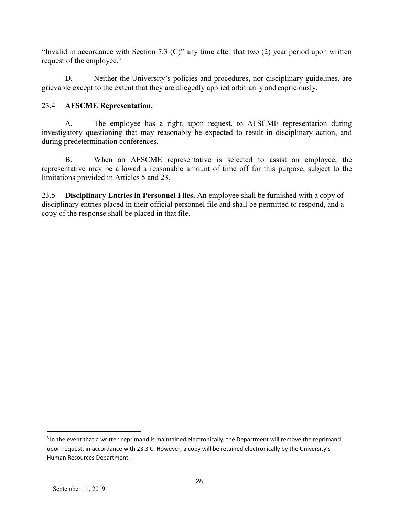"Invalid in accordance with Section 7.3 (C)" any time after that two (2) year period upon written request of the employee.<sup>3</sup>

D. Neither the University's policies and procedures, nor disciplinary guidelines, are grievable except to the extent that they are allegedly applied arbitrarily and capriciously.

## 23.4 **AFSCME Representation.**

A. The employee has a right, upon request, to AFSCME representation during investigatory questioning that may reasonably be expected to result in disciplinary action, and during predetermination conferences.

B. When an AFSCME representative is selected to assist an employee, the representative may be allowed a reasonable amount of time off for this purpose, subject to the limitations provided in Articles 5 and 23.

23.5 **Disciplinary Entries in Personnel Files.** An employee shall be furnished with a copy of disciplinary entries placed in their official personnel file and shall be permitted to respond, and a copy of the response shall be placed in that file.

<sup>&</sup>lt;sup>3</sup> In the event that a written reprimand is maintained electronically, the Department will remove the reprimand upon request, in accordance with 23.3 C. However, a copy will be retained electronically by the University's Human Resources Department.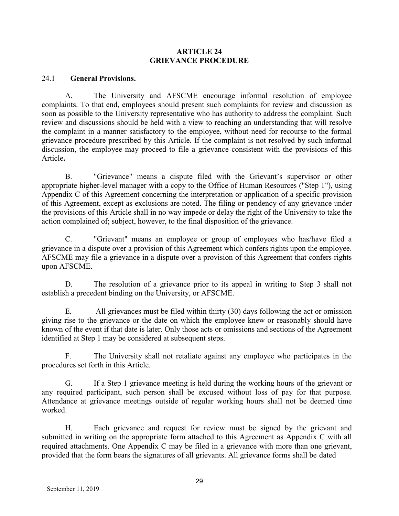#### **ARTICLE 24 GRIEVANCE PROCEDURE**

#### 24.1 **General Provisions.**

A. The University and AFSCME encourage informal resolution of employee complaints. To that end, employees should present such complaints for review and discussion as soon as possible to the University representative who has authority to address the complaint. Such review and discussions should be held with a view to reaching an understanding that will resolve the complaint in a manner satisfactory to the employee, without need for recourse to the formal grievance procedure prescribed by this Article. If the complaint is not resolved by such informal discussion, the employee may proceed to file a grievance consistent with the provisions of this Article**.**

B. "Grievance" means a dispute filed with the Grievant's supervisor or other appropriate higher-level manager with a copy to the Office of Human Resources ("Step 1"), using Appendix C of this Agreement concerning the interpretation or application of a specific provision of this Agreement, except as exclusions are noted. The filing or pendency of any grievance under the provisions of this Article shall in no way impede or delay the right of the University to take the action complained of; subject, however, to the final disposition of the grievance.

C. "Grievant" means an employee or group of employees who has/have filed a grievance in a dispute over a provision of this Agreement which confers rights upon the employee. AFSCME may file a grievance in a dispute over a provision of this Agreement that confers rights upon AFSCME.

D. The resolution of a grievance prior to its appeal in writing to Step 3 shall not establish a precedent binding on the University, or AFSCME.

E. All grievances must be filed within thirty (30) days following the act or omission giving rise to the grievance or the date on which the employee knew or reasonably should have known of the event if that date is later. Only those acts or omissions and sections of the Agreement identified at Step 1 may be considered at subsequent steps.

F. The University shall not retaliate against any employee who participates in the procedures set forth in this Article.

G. If a Step 1 grievance meeting is held during the working hours of the grievant or any required participant, such person shall be excused without loss of pay for that purpose. Attendance at grievance meetings outside of regular working hours shall not be deemed time worked.

H. Each grievance and request for review must be signed by the grievant and submitted in writing on the appropriate form attached to this Agreement as Appendix C with all required attachments. One Appendix C may be filed in a grievance with more than one grievant, provided that the form bears the signatures of all grievants. All grievance forms shall be dated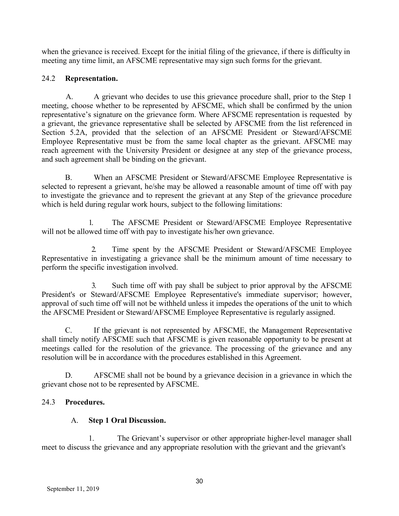when the grievance is received. Except for the initial filing of the grievance, if there is difficulty in meeting any time limit, an AFSCME representative may sign such forms for the grievant.

## 24.2 **Representation.**

A. A grievant who decides to use this grievance procedure shall, prior to the Step 1 meeting, choose whether to be represented by AFSCME, which shall be confirmed by the union representative's signature on the grievance form. Where AFSCME representation is requested by a grievant, the grievance representative shall be selected by AFSCME from the list referenced in Section 5.2A, provided that the selection of an AFSCME President or Steward/AFSCME Employee Representative must be from the same local chapter as the grievant. AFSCME may reach agreement with the University President or designee at any step of the grievance process, and such agreement shall be binding on the grievant.

B. When an AFSCME President or Steward/AFSCME Employee Representative is selected to represent a grievant, he/she may be allowed a reasonable amount of time off with pay to investigate the grievance and to represent the grievant at any Step of the grievance procedure which is held during regular work hours, subject to the following limitations:

1. The AFSCME President or Steward/AFSCME Employee Representative will not be allowed time off with pay to investigate his/her own grievance.

2. Time spent by the AFSCME President or Steward/AFSCME Employee Representative in investigating a grievance shall be the minimum amount of time necessary to perform the specific investigation involved.

3. Such time off with pay shall be subject to prior approval by the AFSCME President's or Steward/AFSCME Employee Representative's immediate supervisor; however, approval of such time off will not be withheld unless it impedes the operations of the unit to which the AFSCME President or Steward/AFSCME Employee Representative is regularly assigned.

C. If the grievant is not represented by AFSCME, the Management Representative shall timely notify AFSCME such that AFSCME is given reasonable opportunity to be present at meetings called for the resolution of the grievance. The processing of the grievance and any resolution will be in accordance with the procedures established in this Agreement.

D. AFSCME shall not be bound by a grievance decision in a grievance in which the grievant chose not to be represented by AFSCME.

## 24.3 **Procedures.**

## A. **Step 1 Oral Discussion.**

1. The Grievant's supervisor or other appropriate higher-level manager shall meet to discuss the grievance and any appropriate resolution with the grievant and the grievant's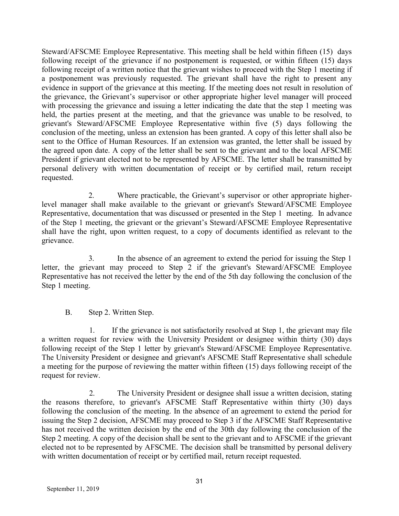Steward/AFSCME Employee Representative. This meeting shall be held within fifteen (15) days following receipt of the grievance if no postponement is requested, or within fifteen (15) days following receipt of a written notice that the grievant wishes to proceed with the Step 1 meeting if a postponement was previously requested. The grievant shall have the right to present any evidence in support of the grievance at this meeting. If the meeting does not result in resolution of the grievance, the Grievant's supervisor or other appropriate higher level manager will proceed with processing the grievance and issuing a letter indicating the date that the step 1 meeting was held, the parties present at the meeting, and that the grievance was unable to be resolved, to grievant's Steward/AFSCME Employee Representative within five (5) days following the conclusion of the meeting, unless an extension has been granted. A copy of this letter shall also be sent to the Office of Human Resources. If an extension was granted, the letter shall be issued by the agreed upon date. A copy of the letter shall be sent to the grievant and to the local AFSCME President if grievant elected not to be represented by AFSCME. The letter shall be transmitted by personal delivery with written documentation of receipt or by certified mail, return receipt requested.

2. Where practicable, the Grievant's supervisor or other appropriate higherlevel manager shall make available to the grievant or grievant's Steward/AFSCME Employee Representative, documentation that was discussed or presented in the Step 1 meeting. In advance of the Step 1 meeting, the grievant or the grievant's Steward/AFSCME Employee Representative shall have the right, upon written request, to a copy of documents identified as relevant to the grievance.

3. In the absence of an agreement to extend the period for issuing the Step 1 letter, the grievant may proceed to Step 2 if the grievant's Steward/AFSCME Employee Representative has not received the letter by the end of the 5th day following the conclusion of the Step 1 meeting.

## B. Step 2. Written Step.

1. If the grievance is not satisfactorily resolved at Step 1, the grievant may file a written request for review with the University President or designee within thirty (30) days following receipt of the Step 1 letter by grievant's Steward/AFSCME Employee Representative. The University President or designee and grievant's AFSCME Staff Representative shall schedule a meeting for the purpose of reviewing the matter within fifteen (15) days following receipt of the request for review.

2. The University President or designee shall issue a written decision, stating the reasons therefore, to grievant's AFSCME Staff Representative within thirty (30) days following the conclusion of the meeting. In the absence of an agreement to extend the period for issuing the Step 2 decision, AFSCME may proceed to Step 3 if the AFSCME Staff Representative has not received the written decision by the end of the 30th day following the conclusion of the Step 2 meeting. A copy of the decision shall be sent to the grievant and to AFSCME if the grievant elected not to be represented by AFSCME. The decision shall be transmitted by personal delivery with written documentation of receipt or by certified mail, return receipt requested.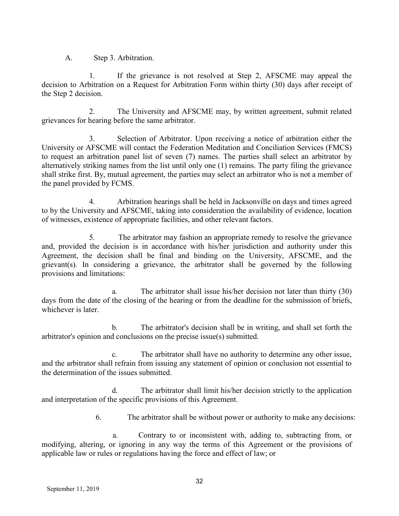A. Step 3. Arbitration.

1. If the grievance is not resolved at Step 2, AFSCME may appeal the decision to Arbitration on a Request for Arbitration Form within thirty (30) days after receipt of the Step 2 decision.

2. The University and AFSCME may, by written agreement, submit related grievances for hearing before the same arbitrator.

3. Selection of Arbitrator. Upon receiving a notice of arbitration either the University or AFSCME will contact the Federation Meditation and Conciliation Services (FMCS) to request an arbitration panel list of seven (7) names. The parties shall select an arbitrator by alternatively striking names from the list until only one (1) remains. The party filing the grievance shall strike first. By, mutual agreement, the parties may select an arbitrator who is not a member of the panel provided by FCMS.

4. Arbitration hearings shall be held in Jacksonville on days and times agreed to by the University and AFSCME, taking into consideration the availability of evidence, location of witnesses, existence of appropriate facilities, and other relevant factors.

5. The arbitrator may fashion an appropriate remedy to resolve the grievance and, provided the decision is in accordance with his/her jurisdiction and authority under this Agreement, the decision shall be final and binding on the University, AFSCME, and the grievant(s). In considering a grievance, the arbitrator shall be governed by the following provisions and limitations:

a. The arbitrator shall issue his/her decision not later than thirty (30) days from the date of the closing of the hearing or from the deadline for the submission of briefs, whichever is later.

b. The arbitrator's decision shall be in writing, and shall set forth the arbitrator's opinion and conclusions on the precise issue(s) submitted.

c. The arbitrator shall have no authority to determine any other issue, and the arbitrator shall refrain from issuing any statement of opinion or conclusion not essential to the determination of the issues submitted.

d. The arbitrator shall limit his/her decision strictly to the application and interpretation of the specific provisions of this Agreement.

6. The arbitrator shall be without power or authority to make any decisions:

a. Contrary to or inconsistent with, adding to, subtracting from, or modifying, altering, or ignoring in any way the terms of this Agreement or the provisions of applicable law or rules or regulations having the force and effect of law; or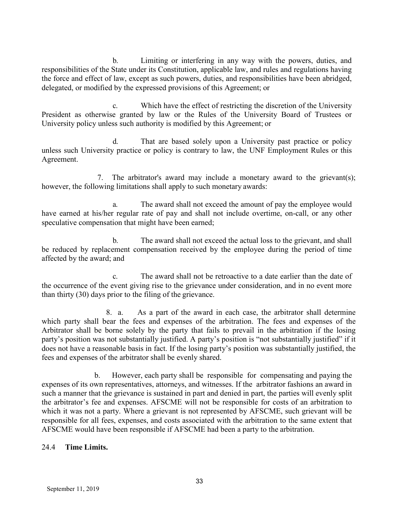b. Limiting or interfering in any way with the powers, duties, and responsibilities of the State under its Constitution, applicable law, and rules and regulations having the force and effect of law, except as such powers, duties, and responsibilities have been abridged, delegated, or modified by the expressed provisions of this Agreement; or

c. Which have the effect of restricting the discretion of the University President as otherwise granted by law or the Rules of the University Board of Trustees or University policy unless such authority is modified by this Agreement; or

d. That are based solely upon a University past practice or policy unless such University practice or policy is contrary to law, the UNF Employment Rules or this Agreement.

7. The arbitrator's award may include a monetary award to the grievant(s); however, the following limitations shall apply to such monetary awards:

a. The award shall not exceed the amount of pay the employee would have earned at his/her regular rate of pay and shall not include overtime, on-call, or any other speculative compensation that might have been earned;

b. The award shall not exceed the actual loss to the grievant, and shall be reduced by replacement compensation received by the employee during the period of time affected by the award; and

c. The award shall not be retroactive to a date earlier than the date of the occurrence of the event giving rise to the grievance under consideration, and in no event more than thirty (30) days prior to the filing of the grievance.

8. a. As a part of the award in each case, the arbitrator shall determine which party shall bear the fees and expenses of the arbitration. The fees and expenses of the Arbitrator shall be borne solely by the party that fails to prevail in the arbitration if the losing party's position was not substantially justified. A party's position is "not substantially justified" if it does not have a reasonable basis in fact. If the losing party's position was substantially justified, the fees and expenses of the arbitrator shall be evenly shared.

b. However, each party shall be responsible for compensating and paying the expenses of its own representatives, attorneys, and witnesses. If the arbitrator fashions an award in such a manner that the grievance is sustained in part and denied in part, the parties will evenly split the arbitrator's fee and expenses. AFSCME will not be responsible for costs of an arbitration to which it was not a party. Where a grievant is not represented by AFSCME, such grievant will be responsible for all fees, expenses, and costs associated with the arbitration to the same extent that AFSCME would have been responsible if AFSCME had been a party to the arbitration.

## 24.4 **Time Limits.**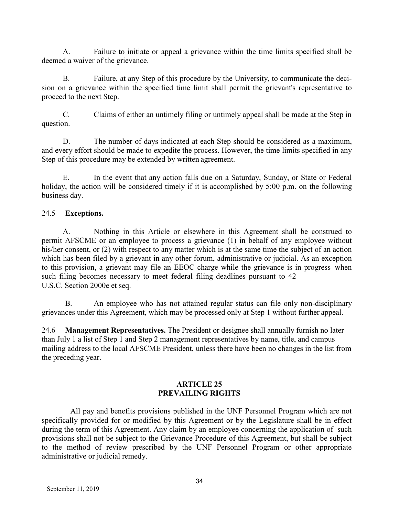A. Failure to initiate or appeal a grievance within the time limits specified shall be deemed a waiver of the grievance.

B. Failure, at any Step of this procedure by the University, to communicate the decision on a grievance within the specified time limit shall permit the grievant's representative to proceed to the next Step.

C. Claims of either an untimely filing or untimely appeal shall be made at the Step in question.

D. The number of days indicated at each Step should be considered as a maximum, and every effort should be made to expedite the process. However, the time limits specified in any Step of this procedure may be extended by written agreement.

In the event that any action falls due on a Saturday, Sunday, or State or Federal holiday, the action will be considered timely if it is accomplished by 5:00 p.m. on the following business day.

## 24.5 **Exceptions.**

A. Nothing in this Article or elsewhere in this Agreement shall be construed to permit AFSCME or an employee to process a grievance (1) in behalf of any employee without his/her consent, or (2) with respect to any matter which is at the same time the subject of an action which has been filed by a grievant in any other forum, administrative or judicial. As an exception to this provision, a grievant may file an EEOC charge while the grievance is in progress when such filing becomes necessary to meet federal filing deadlines pursuant to 42 U.S.C. Section 2000e et seq.

B. An employee who has not attained regular status can file only non-disciplinary grievances under this Agreement, which may be processed only at Step 1 without further appeal.

24.6 **Management Representatives.** The President or designee shall annually furnish no later than July 1 a list of Step 1 and Step 2 management representatives by name, title, and campus mailing address to the local AFSCME President, unless there have been no changes in the list from the preceding year.

#### **ARTICLE 25 PREVAILING RIGHTS**

All pay and benefits provisions published in the UNF Personnel Program which are not specifically provided for or modified by this Agreement or by the Legislature shall be in effect during the term of this Agreement. Any claim by an employee concerning the application of such provisions shall not be subject to the Grievance Procedure of this Agreement, but shall be subject to the method of review prescribed by the UNF Personnel Program or other appropriate administrative or judicial remedy.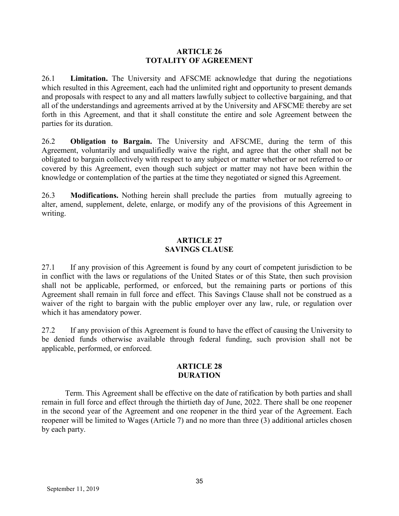#### **ARTICLE 26 TOTALITY OF AGREEMENT**

26.1 **Limitation.** The University and AFSCME acknowledge that during the negotiations which resulted in this Agreement, each had the unlimited right and opportunity to present demands and proposals with respect to any and all matters lawfully subject to collective bargaining, and that all of the understandings and agreements arrived at by the University and AFSCME thereby are set forth in this Agreement, and that it shall constitute the entire and sole Agreement between the parties for its duration.

26.2 **Obligation to Bargain.** The University and AFSCME, during the term of this Agreement, voluntarily and unqualifiedly waive the right, and agree that the other shall not be obligated to bargain collectively with respect to any subject or matter whether or not referred to or covered by this Agreement, even though such subject or matter may not have been within the knowledge or contemplation of the parties at the time they negotiated or signed this Agreement.

26.3 **Modifications.** Nothing herein shall preclude the parties from mutually agreeing to alter, amend, supplement, delete, enlarge, or modify any of the provisions of this Agreement in writing.

### **ARTICLE 27 SAVINGS CLAUSE**

27.1 If any provision of this Agreement is found by any court of competent jurisdiction to be in conflict with the laws or regulations of the United States or of this State, then such provision shall not be applicable, performed, or enforced, but the remaining parts or portions of this Agreement shall remain in full force and effect. This Savings Clause shall not be construed as a waiver of the right to bargain with the public employer over any law, rule, or regulation over which it has amendatory power.

27.2 If any provision of this Agreement is found to have the effect of causing the University to be denied funds otherwise available through federal funding, such provision shall not be applicable, performed, or enforced.

#### **ARTICLE 28 DURATION**

Term. This Agreement shall be effective on the date of ratification by both parties and shall remain in full force and effect through the thirtieth day of June, 2022. There shall be one reopener in the second year of the Agreement and one reopener in the third year of the Agreement. Each reopener will be limited to Wages (Article 7) and no more than three (3) additional articles chosen by each party.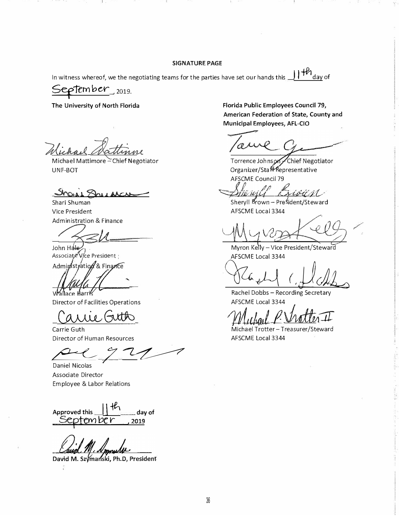#### **SIGNATURE PAGE**

In witness whereof, we the negotiating teams for the parties have set our hands this.  $H^{\sharp\sharp}$ <sub>day of</sub>

 $S$ **ep**  $\mathsf{fember}_{2019}$ 

**The University of North Florida** 

Michael Mattimore - Chief Negotiator UNF-BOT

*..::ky:.,*  , '\ &• <sup>I</sup>*V,c,,,..\_\_\_*

Shari Shuman Vice President Administration & Finance

John H<del>ale<br>Associate Vi</del>ce President Administration & Finance

llace <del>Ill</del>arris

Director of Facilities Operations

Carrie Guth **Director of Human Resources** 

*�7�* 

*<sup>7</sup>*Daniel Nicolas Associate Director Employee & Labor Relations

Approved this **I**  $\cdot$  **Fterm** day of <u>September 2019</u>

David M. Szymanski, Ph.D, President

**Florida Public Employees Council 79, American Federation of State, County and Municipal Employees, AFL-CIO** 

a

Torrence Johnson Chief Negotiator Organizer/StaffRepresentative AFSCME Council 79

 $\mathscr{L}(\mathcal{U})$ 

Sheryll Brown - President/Steward AFSCME Local 3344

Wy veget elg

AFSCME Local 3344

**ACG & LI** (,JJCA)

AFSCME Local 3344

*121thaat* <u>*P. Matter II*</u><br>Michael Trotter - Treasurer/Steward

AFSCME Local 3344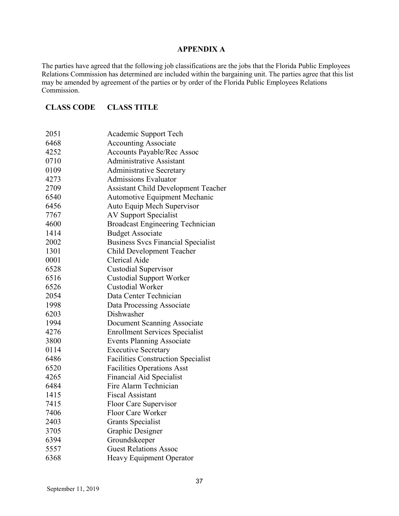#### **APPENDIX A**

The parties have agreed that the following job classifications are the jobs that the Florida Public Employees Relations Commission has determined are included within the bargaining unit. The parties agree that this list may be amended by agreement of the parties or by order of the Florida Public Employees Relations Commission.

#### **CLASS CODE CLASS TITLE**

| 2051 | Academic Support Tech                      |
|------|--------------------------------------------|
| 6468 | <b>Accounting Associate</b>                |
| 4252 | <b>Accounts Payable/Rec Assoc</b>          |
| 0710 | <b>Administrative Assistant</b>            |
| 0109 | <b>Administrative Secretary</b>            |
| 4273 | <b>Admissions Evaluator</b>                |
| 2709 | <b>Assistant Child Development Teacher</b> |
| 6540 | <b>Automotive Equipment Mechanic</b>       |
| 6456 | Auto Equip Mech Supervisor                 |
| 7767 | <b>AV Support Specialist</b>               |
| 4600 | <b>Broadcast Engineering Technician</b>    |
| 1414 | <b>Budget Associate</b>                    |
| 2002 | <b>Business Svcs Financial Specialist</b>  |
| 1301 | Child Development Teacher                  |
| 0001 | <b>Clerical Aide</b>                       |
| 6528 | <b>Custodial Supervisor</b>                |
| 6516 | <b>Custodial Support Worker</b>            |
| 6526 | <b>Custodial Worker</b>                    |
| 2054 | Data Center Technician                     |
| 1998 | Data Processing Associate                  |
| 6203 | Dishwasher                                 |
| 1994 | Document Scanning Associate                |
| 4276 | <b>Enrollment Services Specialist</b>      |
| 3800 | <b>Events Planning Associate</b>           |
| 0114 | <b>Executive Secretary</b>                 |
| 6486 | <b>Facilities Construction Specialist</b>  |
| 6520 | <b>Facilities Operations Asst</b>          |
| 4265 | Financial Aid Specialist                   |
| 6484 | Fire Alarm Technician                      |
| 1415 | <b>Fiscal Assistant</b>                    |
| 7415 | Floor Care Supervisor                      |
| 7406 | Floor Care Worker                          |
| 2403 | <b>Grants Specialist</b>                   |
| 3705 | Graphic Designer                           |
| 6394 | Groundskeeper                              |
| 5557 | <b>Guest Relations Assoc</b>               |
| 6368 | Heavy Equipment Operator                   |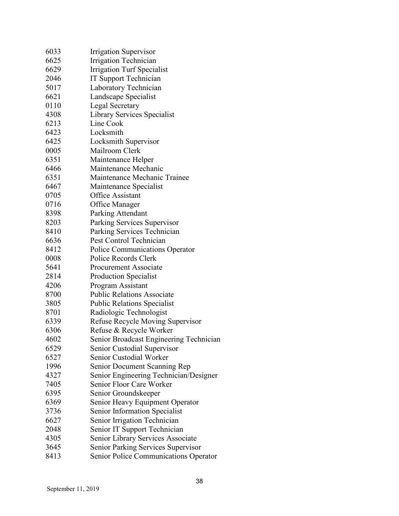| 6033 | <b>Irrigation Supervisor</b>              |
|------|-------------------------------------------|
| 6625 | Irrigation Technician                     |
| 6629 | <b>Irrigation Turf Specialist</b>         |
| 2046 | IT Support Technician                     |
| 5017 | Laboratory Technician                     |
| 6621 | Landscape Specialist                      |
| 0110 | <b>Legal Secretary</b>                    |
| 4308 | Library Services Specialist               |
| 6213 | Line Cook                                 |
| 6423 | Locksmith                                 |
| 6425 | Locksmith Supervisor                      |
| 0005 | Mailroom Clerk                            |
| 6351 | Maintenance Helper                        |
| 6466 | Maintenance Mechanic                      |
| 6351 | Maintenance Mechanic Trainee              |
| 6467 | Maintenance Specialist                    |
| 0705 | Office Assistant                          |
| 0716 | Office Manager                            |
| 8398 | Parking Attendant                         |
| 8203 | Parking Services Supervisor               |
| 8410 | Parking Services Technician               |
| 6636 | Pest Control Technician                   |
| 8412 | Police Communications Operator            |
| 0008 | Police Records Clerk                      |
| 5641 | <b>Procurement Associate</b>              |
| 2814 | Production Specialist                     |
| 4206 | Program Assistant                         |
| 8700 | <b>Public Relations Associate</b>         |
| 3805 | <b>Public Relations Specialist</b>        |
| 8701 | Radiologic Technologist                   |
| 6339 | Refuse Recycle Moving Supervisor          |
| 6306 | Refuse & Recycle Worker                   |
| 4602 | Senior Broadcast Engineering Technician   |
| 6529 | Senior Custodial Supervisor               |
| 6527 | Senior Custodial Worker                   |
| 1996 | Senior Document Scanning Rep              |
| 4327 | Senior Engineering Technician/Designer    |
| 7405 | Senior Floor Care Worker                  |
| 6395 | Senior Groundskeeper                      |
| 6369 | Senior Heavy Equipment Operator           |
| 3736 | Senior Information Specialist             |
| 6627 | Senior Irrigation Technician              |
| 2048 | Senior IT Support Technician              |
| 4305 | Senior Library Services Associate         |
| 3645 | <b>Senior Parking Services Supervisor</b> |
| 8413 | Senior Police Communications Operator     |
|      |                                           |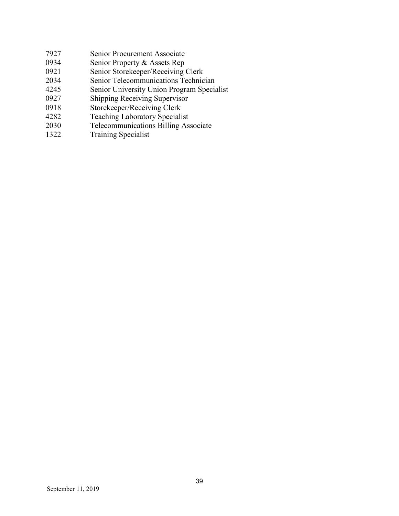| 7927 | Senior Procurement Associate               |
|------|--------------------------------------------|
| 0934 | Senior Property & Assets Rep               |
| 0921 | Senior Storekeeper/Receiving Clerk         |
| 2034 | Senior Telecommunications Technician       |
| 4245 | Senior University Union Program Specialist |
| 0927 | <b>Shipping Receiving Supervisor</b>       |
| 0918 | Storekeeper/Receiving Clerk                |
| 4282 | <b>Teaching Laboratory Specialist</b>      |
| 2030 | Telecommunications Billing Associate       |
| 1322 | <b>Training Specialist</b>                 |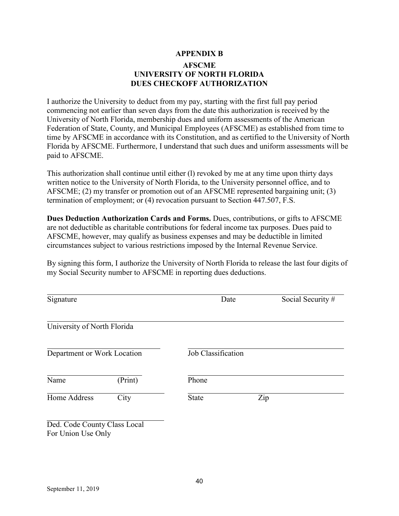## **APPENDIX B AFSCME UNIVERSITY OF NORTH FLORIDA DUES CHECKOFF AUTHORIZATION**

I authorize the University to deduct from my pay, starting with the first full pay period commencing not earlier than seven days from the date this authorization is received by the University of North Florida, membership dues and uniform assessments of the American Federation of State, County, and Municipal Employees (AFSCME) as established from time to time by AFSCME in accordance with its Constitution, and as certified to the University of North Florida by AFSCME. Furthermore, I understand that such dues and uniform assessments will be paid to AFSCME.

This authorization shall continue until either (l) revoked by me at any time upon thirty days written notice to the University of North Florida, to the University personnel office, and to AFSCME; (2) my transfer or promotion out of an AFSCME represented bargaining unit; (3) termination of employment; or (4) revocation pursuant to Section 447.507, F.S.

**Dues Deduction Authorization Cards and Forms.** Dues, contributions, or gifts to AFSCME are not deductible as charitable contributions for federal income tax purposes. Dues paid to AFSCME, however, may qualify as business expenses and may be deductible in limited circumstances subject to various restrictions imposed by the Internal Revenue Service.

By signing this form, I authorize the University of North Florida to release the last four digits of my Social Security number to AFSCME in reporting dues deductions.

| Signature                                          |         | Date               | Social Security # |
|----------------------------------------------------|---------|--------------------|-------------------|
| University of North Florida                        |         |                    |                   |
| Department or Work Location                        |         | Job Classification |                   |
| Name                                               | (Print) | Phone              |                   |
| Home Address                                       | City    | <b>State</b>       | Zip               |
| Ded. Code County Class Local<br>For Union Use Only |         |                    |                   |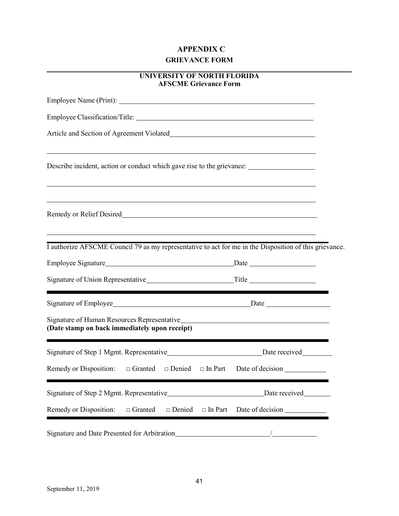## **APPENDIX C GRIEVANCE FORM**

| UNIVERSITY OF NORTH FLORIDA  |
|------------------------------|
| <b>AFSCME Grievance Form</b> |

| ,我们也不会有什么。""我们的人,我们也不会有什么?""我们的人,我们也不会有什么?""我们的人,我们也不会有什么?""我们的人,我们也不会有什么?""我们的人<br>Describe incident, action or conduct which gave rise to the grievance: |                                    |
|------------------------------------------------------------------------------------------------------------------------------------------------------------|------------------------------------|
|                                                                                                                                                            |                                    |
| I authorize AFSCME Council 79 as my representative to act for me in the Disposition of this grievance.                                                     |                                    |
|                                                                                                                                                            |                                    |
|                                                                                                                                                            |                                    |
|                                                                                                                                                            |                                    |
| Signature of Human Resources Representative<br>and the manufacture of Human Resources Representative<br>(Date stamp on back immediately upon receipt)      |                                    |
| Signature of Step 1 Mgmt. Representative__________________________________Date received____________                                                        |                                    |
|                                                                                                                                                            |                                    |
|                                                                                                                                                            |                                    |
| Remedy or Disposition:<br>$\Box$ Granted<br>□ Denied                                                                                                       | $\Box$ In Part<br>Date of decision |
|                                                                                                                                                            |                                    |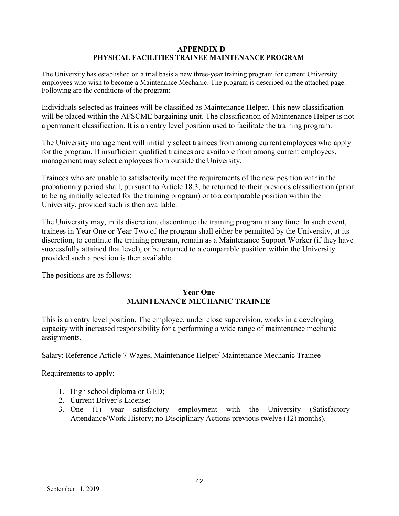#### **APPENDIX D PHYSICAL FACILITIES TRAINEE MAINTENANCE PROGRAM**

The University has established on a trial basis a new three-year training program for current University employees who wish to become a Maintenance Mechanic. The program is described on the attached page. Following are the conditions of the program:

Individuals selected as trainees will be classified as Maintenance Helper. This new classification will be placed within the AFSCME bargaining unit. The classification of Maintenance Helper is not a permanent classification. It is an entry level position used to facilitate the training program.

The University management will initially select trainees from among current employees who apply for the program. If insufficient qualified trainees are available from among current employees, management may select employees from outside the University.

Trainees who are unable to satisfactorily meet the requirements of the new position within the probationary period shall, pursuant to Article 18.3, be returned to their previous classification (prior to being initially selected for the training program) or to a comparable position within the University, provided such is then available.

The University may, in its discretion, discontinue the training program at any time. In such event, trainees in Year One or Year Two of the program shall either be permitted by the University, at its discretion, to continue the training program, remain as a Maintenance Support Worker (if they have successfully attained that level), or be returned to a comparable position within the University provided such a position is then available.

The positions are as follows:

## **Year One MAINTENANCE MECHANIC TRAINEE**

This is an entry level position. The employee, under close supervision, works in a developing capacity with increased responsibility for a performing a wide range of maintenance mechanic assignments.

Salary: Reference Article 7 Wages, Maintenance Helper/ Maintenance Mechanic Trainee

Requirements to apply:

- 1. High school diploma or GED;
- 2. Current Driver's License;
- 3. One (1) year satisfactory employment with the University (Satisfactory Attendance/Work History; no Disciplinary Actions previous twelve (12) months).